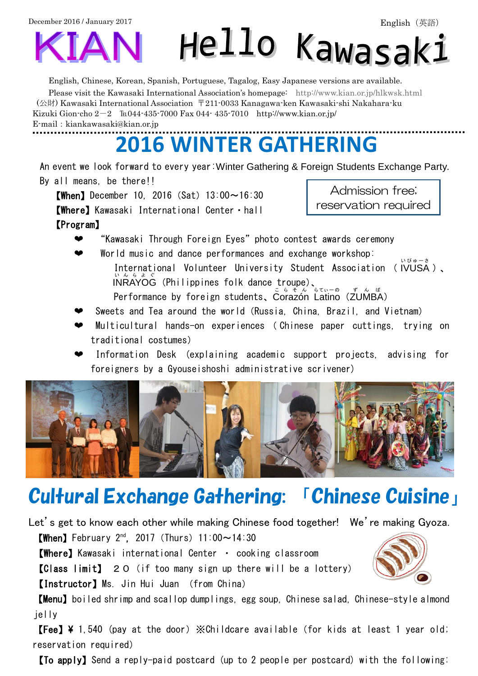December 2016 / January 2017



English, Chinese, Korean, Spanish, Portuguese, Tagalog, Easy Japanese versions are available.

Please visit the Kawasaki International Association's homepage: <http://www.kian.or.jp/hlkwsk.html> (公財) Kawasaki International Association 〒211-0033 Kanagawa-ken Kawasaki-shi Nakahara-ku Kizuki Gion-cho  $2-2$  ℡044-435-7000 Fax 044-435-7010 http://www.kian.or.jp/ E-mail: kiankawasaki@kian.or.jp

## **2016 WINTER GATHERING**

An event we look forward to every year:Winter Gathering & Foreign Students Exchange Party. By all means, be there!!

**[When]** December 10, 2016 (Sat)  $13:00 \sim 16:30$ 【Where】Kawasaki International Center・hall 【Program】

Admission free; reservation required

- "Kawasaki Through Foreign Eyes" photo contest awards ceremony
- World music and dance performances and exchange workshop: International Volunteer University Student Association ( IVUSA )、 いびゅーさ  $\hat{\mathsf{INR}}$ AYOG (Philippines folk dance troupe)、 Performance by foreign students、Corazón Latino(ZUMBA)
- Sweets and Tea around the world (Russia, China, Brazil, and Vietnam)
- ❤ Multicultural hands-on experiences ( Chinese paper cuttings, trying on traditional costumes)
- Information Desk (explaining academic support projects, advising for foreigners by a Gyouseishoshi administrative scrivener)



# Cultural Exchange Gathering: 「Chinese Cuisine」

Let's get to know each other while making Chinese food together! We're making Gyoza.

 $[When]$  February 2<sup>nd</sup>, 2017 (Thurs) 11:00 $\sim$ 14:30

【Where】Kawasaki international Center ・ cooking classroom

【Class limit】 20(if too many sign up there will be a lottery)

【Instructor】Ms. Jin Hui Juan (from China)

【Menu】boiled shrimp and scallop dumplings, egg soup, Chinese salad, Chinese-style almond jelly

**[Fee] \** 1,540 (pay at the door)  $\angle$  Childcare available (for kids at least 1 year old; reservation required)

【To apply】Send a reply-paid postcard (up to 2 people per postcard) with the following: